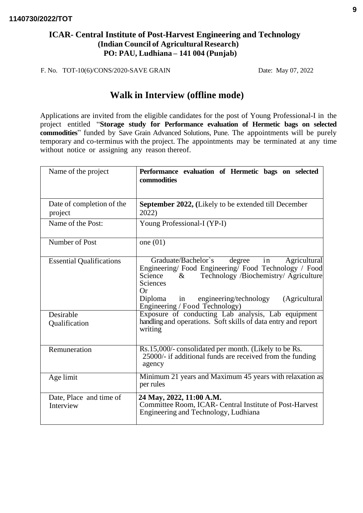### **ICAR- Central Institute of Post-Harvest Engineering and Technology (Indian Council of Agricultural Research) PO: PAU, Ludhiana – 141 004 (Punjab)**

F. No. TOT-10(6)/CONS/2020-SAVE GRAIN Date: May 07, 2022

# **Walk in Interview (offline mode)**

Applications are invited from the eligible candidates for the post of Young Professional-I in the project entitled "**Storage study for Performance evaluation of Hermetic bags on selected commodities**" funded by Save Grain Advanced Solutions, Pune. The appointments will be purely temporary and co-terminus with the project. The appointments may be terminated at any time without notice or assigning any reason thereof.

| Name of the project                  | Performance evaluation of Hermetic bags on selected<br>commodities                                                                                                                                                                                                                            |  |  |  |
|--------------------------------------|-----------------------------------------------------------------------------------------------------------------------------------------------------------------------------------------------------------------------------------------------------------------------------------------------|--|--|--|
| Date of completion of the<br>project | <b>September 2022, (Likely to be extended till December</b><br>2022)                                                                                                                                                                                                                          |  |  |  |
| Name of the Post:                    | Young Professional-I (YP-I)                                                                                                                                                                                                                                                                   |  |  |  |
| Number of Post                       | one $(01)$                                                                                                                                                                                                                                                                                    |  |  |  |
| <b>Essential Qualifications</b>      | Graduate/Bachelor's<br>degree<br>in<br>Agricultural<br>Engineering/Food Engineering/Food Technology / Food<br>Technology /Biochemistry/ Agriculture<br>Science<br>$\&$<br>Sciences<br><b>Or</b><br>engineering/technology<br>(Agricultural<br>Diploma<br>in<br>Engineering / Food Technology) |  |  |  |
| Desirable<br>Qualification           | Exposure of conducting Lab analysis, Lab equipment<br>handling and operations. Soft skills of data entry and report<br>writing                                                                                                                                                                |  |  |  |
| Remuneration                         | Rs.15,000/- consolidated per month. (Likely to be Rs.<br>25000/- if additional funds are received from the funding<br>agency                                                                                                                                                                  |  |  |  |
| Age limit                            | Minimum 21 years and Maximum 45 years with relaxation as<br>per rules                                                                                                                                                                                                                         |  |  |  |
| Date, Place and time of<br>Interview | 24 May, 2022, 11:00 A.M.<br>Committee Room, ICAR- Central Institute of Post-Harvest<br>Engineering and Technology, Ludhiana                                                                                                                                                                   |  |  |  |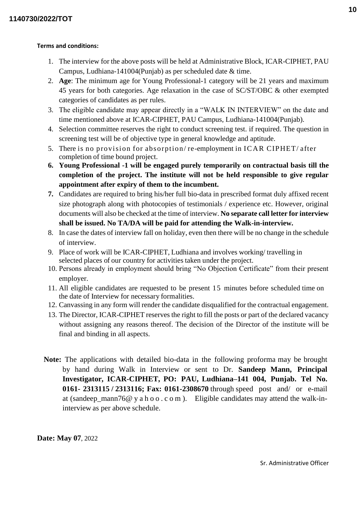#### **Terms and conditions:**

- 1. The interview for the above posts will be held at Administrative Block, ICAR-CIPHET, PAU Campus, Ludhiana-141004(Punjab) as per scheduled date & time.
- 2. **Age**: The minimum age for Young Professional-1 category will be 21 years and maximum 45 years for both categories. Age relaxation in the case of SC/ST/OBC & other exempted categories of candidates as per rules.
- 3. The eligible candidate may appear directly in a "WALK IN INTERVIEW" on the date and time mentioned above at ICAR-CIPHET, PAU Campus, Ludhiana-141004(Punjab).
- 4. Selection committee reserves the right to conduct screening test. if required. The question in screening test will be of objective type in general knowledge and aptitude.
- 5. There is no provision for absorption/ re-employment in IC AR CIPHET/ after completion of time bound project.
- **6. Young Professional -1 will be engaged purely temporarily on contractual basis till the completion of the project. The institute will not be held responsible to give regular appointment after expiry of them to the incumbent.**
- **7.** Candidates are required to bring his/her full bio-data in prescribed format duly affixed recent size photograph along with photocopies of testimonials / experience etc. However, original documents will also be checked at the time of interview. **No separate call letter for interview shall be issued. No TA/DA will be paid for attending the Walk-in-interview.**
- 8. In case the dates of interview fall on holiday, even then there will be no change in the schedule of interview.
- 9. Place of work will be ICAR-CIPHET, Ludhiana and involves working/ travelling in selected places of our country for activities taken under the project.
- 10. Persons already in employment should bring "No Objection Certificate" from their present employer.
- 11. All eligible candidates are requested to be present 15 minutes before scheduled time on the date of Interview for necessary formalities.
- 12. Canvassing in any form will render the candidate disqualified for the contractual engagement.
- 13. The Director, ICAR-CIPHET reserves the right to fill the posts or part of the declared vacancy without assigning any reasons thereof. The decision of the Director of the institute will be final and binding in all aspects.
- **Note:** The applications with detailed bio-data in the following proforma may be brought by hand during Walk in Interview or sent to Dr. **Sandeep Mann, Principal Investigator, ICAR-CIPHET, PO: PAU, Ludhiana–141 004, Punjab. Tel No. 0161- 2313115 / 2313116; Fax: 0161-2308670** through speed post and/ or e-mail at (sandeep\_mann76@ y a h o o . c o m ). Eligible candidates may attend the walk-ininterview as per above schedule.

**Date: May 07**, 2022